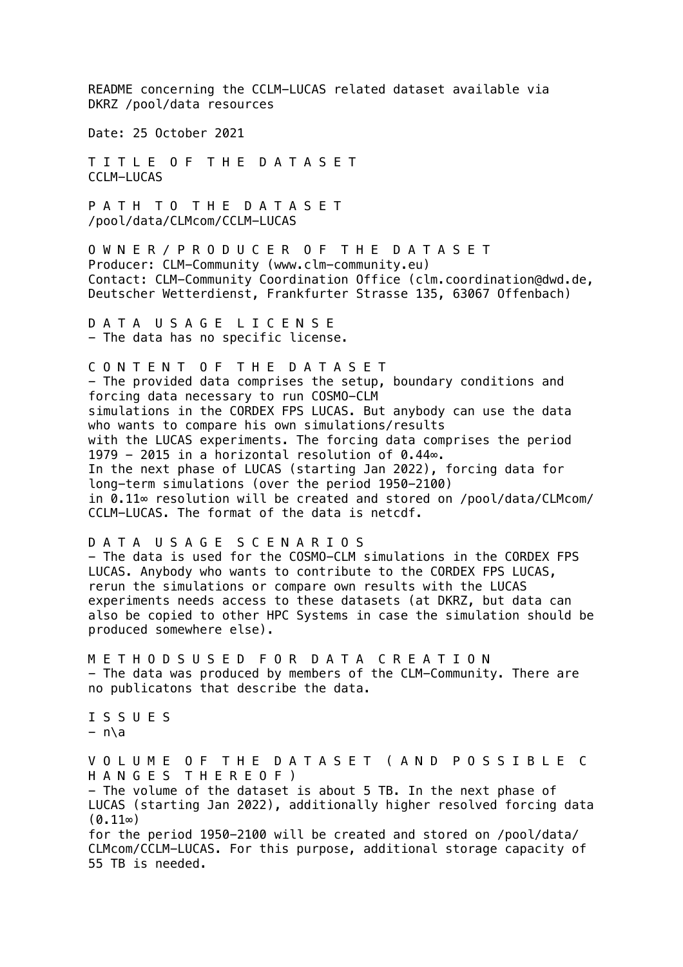README concerning the CCLM-LUCAS related dataset available via DKRZ /pool/data resources Date: 25 October 2021 T I T L E O F T H E D A T A S E T CCLM-LUCAS P A T H T O T H E D A T A S E T /pool/data/CLMcom/CCLM-LUCAS O W N E R / P R O D U C E R O F T H E D A T A S E T Producer: CLM-Community (www.clm-community.eu) Contact: CLM-Community Coordination Office (clm.coordination@dwd.de, Deutscher Wetterdienst, Frankfurter Strasse 135, 63067 Offenbach) D A T A U S A G E L I C E N S E - The data has no specific license. C O N T E N T O F T H E D A T A S E T - The provided data comprises the setup, boundary conditions and forcing data necessary to run COSMO-CLM simulations in the CORDEX FPS LUCAS. But anybody can use the data who wants to compare his own simulations/results with the LUCAS experiments. The forcing data comprises the period 1979 - 2015 in a horizontal resolution of 0.44∞. In the next phase of LUCAS (starting Jan 2022), forcing data for long-term simulations (over the period 1950-2100) in 0.11∞ resolution will be created and stored on /pool/data/CLMcom/ CCLM-LUCAS. The format of the data is netcdf. D A T A U S A G E S C E N A R I O S - The data is used for the COSMO-CLM simulations in the CORDEX FPS LUCAS. Anybody who wants to contribute to the CORDEX FPS LUCAS, rerun the simulations or compare own results with the LUCAS experiments needs access to these datasets (at DKRZ, but data can also be copied to other HPC Systems in case the simulation should be produced somewhere else). M E T H O D S U S E D F O R D A T A C R E A T I O N - The data was produced by members of the CLM-Community. There are no publicatons that describe the data. I S S U E S  $- n\ a$ V O L U M E O F T H E D A T A S E T ( A N D P O S S I B L E C H A N G E S T H E R E O F ) - The volume of the dataset is about 5 TB. In the next phase of LUCAS (starting Jan 2022), additionally higher resolved forcing data  $(0.11\infty)$ for the period 1950-2100 will be created and stored on /pool/data/ CLMcom/CCLM-LUCAS. For this purpose, additional storage capacity of 55 TB is needed.